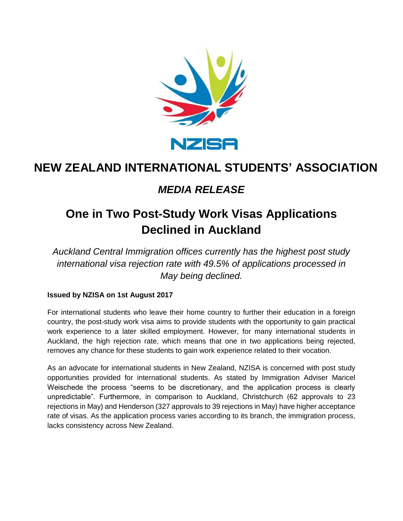

## **NEW ZEALAND INTERNATIONAL STUDENTS' ASSOCIATION**

### *MEDIA RELEASE*

# **One in Two Post-Study Work Visas Applications Declined in Auckland**

*Auckland Central Immigration offices currently has the highest post study international visa rejection rate with 49.5% of applications processed in May being declined.* 

#### **Issued by NZISA on 1st August 2017**

For international students who leave their home country to further their education in a foreign country, the post-study work visa aims to provide students with the opportunity to gain practical work experience to a later skilled employment. However, for many international students in Auckland, the high rejection rate, which means that one in two applications being rejected, removes any chance for these students to gain work experience related to their vocation.

As an advocate for international students in New Zealand, NZISA is concerned with post study opportunities provided for international students. As stated by Immigration Adviser Maricel Weischede the process "seems to be discretionary, and the application process is clearly unpredictable". Furthermore, in comparison to Auckland, Christchurch (62 approvals to 23 rejections in May) and Henderson (327 approvals to 39 rejections in May) have higher acceptance rate of visas. As the application process varies according to its branch, the immigration process, lacks consistency across New Zealand.